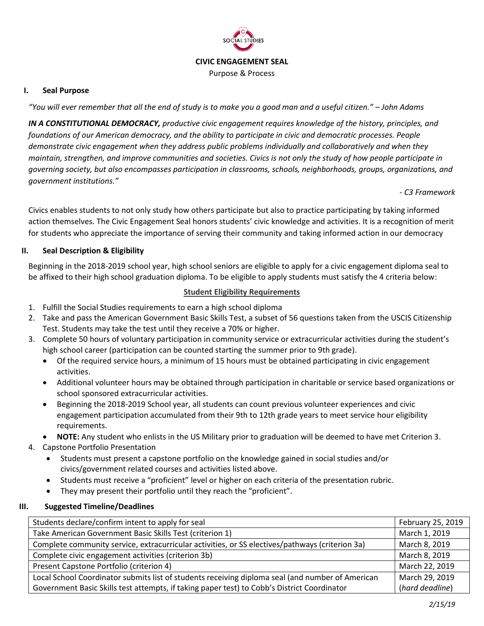

### **CIVIC ENGAGEMENT SEAL**

Purpose & Process

#### **I. Seal Purpose**

*"You will ever remember that all the end of study is to make you a good man and a useful citizen." – John Adams*

*IN A CONSTITUTIONAL DEMOCRACY, productive civic engagement requires knowledge of the history, principles, and foundations of our American democracy, and the ability to participate in civic and democratic processes. People demonstrate civic engagement when they address public problems individually and collaboratively and when they maintain, strengthen, and improve communities and societies. Civics is not only the study of how people participate in governing society, but also encompasses participation in classrooms, schools, neighborhoods, groups, organizations, and government institutions."* 

*- C3 Framework*

Civics enables students to not only study how others participate but also to practice participating by taking informed action themselves. The Civic Engagement Seal honors students' civic knowledge and activities. It is a recognition of merit for students who appreciate the importance of serving their community and taking informed action in our democracy

### **II. Seal Description & Eligibility**

Beginning in the 2018-2019 school year, high school seniors are eligible to apply for a civic engagement diploma seal to be affixed to their high school graduation diploma. To be eligible to apply students must satisfy the 4 criteria below:

### **Student Eligibility Requirements**

- 1. Fulfill the Social Studies requirements to earn a high school diploma
- 2. Take and pass the American Government Basic Skills Test, a subset of 56 questions taken from the USCIS Citizenship Test. Students may take the test until they receive a 70% or higher.
- 3. Complete 50 hours of voluntary participation in community service or extracurricular activities during the student's high school career (participation can be counted starting the summer prior to 9th grade).
	- Of the required service hours, a minimum of 15 hours must be obtained participating in civic engagement activities.
	- Additional volunteer hours may be obtained through participation in charitable or service based organizations or school sponsored extracurricular activities.
	- Beginning the 2018-2019 School year, all students can count previous volunteer experiences and civic engagement participation accumulated from their 9th to 12th grade years to meet service hour eligibility requirements.
	- **NOTE:** Any student who enlists in the US Military prior to graduation will be deemed to have met Criterion 3.
- 4. Capstone Portfolio Presentation
	- Students must present a capstone portfolio on the knowledge gained in social studies and/or civics/government related courses and activities listed above.
	- Students must receive a "proficient" level or higher on each criteria of the presentation rubric.
	- They may present their portfolio until they reach the "proficient".

#### **III. Suggested Timeline/Deadlines**

| Students declare/confirm intent to apply for seal                                                | February 25, 2019 |
|--------------------------------------------------------------------------------------------------|-------------------|
| Take American Government Basic Skills Test (criterion 1)                                         | March 1, 2019     |
| Complete community service, extracurricular activities, or SS electives/pathways (criterion 3a)  | March 8, 2019     |
| Complete civic engagement activities (criterion 3b)                                              | March 8, 2019     |
| Present Capstone Portfolio (criterion 4)                                                         | March 22, 2019    |
| Local School Coordinator submits list of students receiving diploma seal (and number of American | March 29, 2019    |
| Government Basic Skills test attempts, if taking paper test) to Cobb's District Coordinator      | (hard deadline)   |